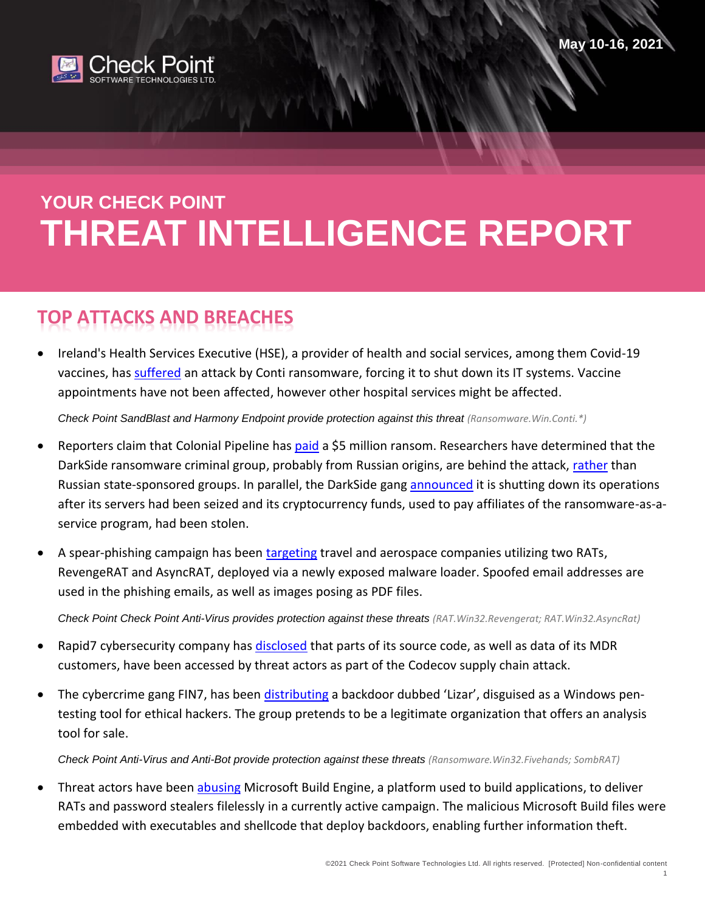

# **YOUR CHECK POINT THREAT INTELLIGENCE REPORT**

## **TOP ATTACKS AND BREACHES**

 Ireland's Health Services Executive (HSE), a provider of health and social services, among them Covid-19 vaccines, ha[s suffered](https://securityaffairs.co/wordpress/117902/malware/ireland-health-service-executive-ransomware.html) an attack by Conti ransomware, forcing it to shut down its IT systems. Vaccine appointments have not been affected, however other hospital services might be affected.

*Check Point SandBlast and Harmony Endpoint provide protection against this threat (Ransomware.Win.Conti.\*)*

- Reporters claim that Colonial Pipeline has [paid](https://www.bloomberg.com/news/articles/2021-05-13/colonial-pipeline-paid-hackers-nearly-5-million-in-ransom) a \$5 million ransom. Researchers have determined that the DarkSide ransomware criminal group, probably from Russian origins, are behind the attack, [rather](https://www.databreachtoday.in/biden-russian-government-behind-colonial-pipeline-attack-a-16590) than Russian state-sponsored groups. In parallel, the DarkSide gang [announced](https://www.hackread.com/darkside-ransomware-quits-bitcoin-servers-seize/) it is shutting down its operations after its servers had been seized and its cryptocurrency funds, used to pay affiliates of the ransomware-as-aservice program, had been stolen.
- A spear-phishing campaign has been [targeting](https://twitter.com/MsftSecIntel/status/1392219299696152578) travel and aerospace companies utilizing two RATs, RevengeRAT and AsyncRAT, deployed via a newly exposed malware loader. Spoofed email addresses are used in the phishing emails, as well as images posing as PDF files.

*Check Point Check Point Anti-Virus provides protection against these threats (RAT.Win32.Revengerat; RAT.Win32.AsyncRat)*

- Rapid7 cybersecurity company has [disclosed](https://www.zdnet.com/article/rapid7-source-code-alert-data-accessed-in-codecov-supply-chain-attack/) that parts of its source code, as well as data of its MDR customers, have been accessed by threat actors as part of the Codecov supply chain attack.
- The cybercrime gang FIN7, has been [distributing](https://threatpost.com/fin7-backdoor-ethical-hacking-tool/166194/) a backdoor dubbed 'Lizar', disguised as a Windows pentesting tool for ethical hackers. The group pretends to be a legitimate organization that offers an analysis tool for sale.

*Check Point Anti-Virus and Anti-Bot provide protection against these threats (Ransomware.Win32.Fivehands; SombRAT)*

 Threat actors have been [abusing](https://www.anomali.com/blog/threat-actors-use-msbuild-to-deliver-rats-filelessly) Microsoft Build Engine, a platform used to build applications, to deliver RATs and password stealers filelessly in a currently active campaign. The malicious Microsoft Build files were embedded with executables and shellcode that deploy backdoors, enabling further information theft.